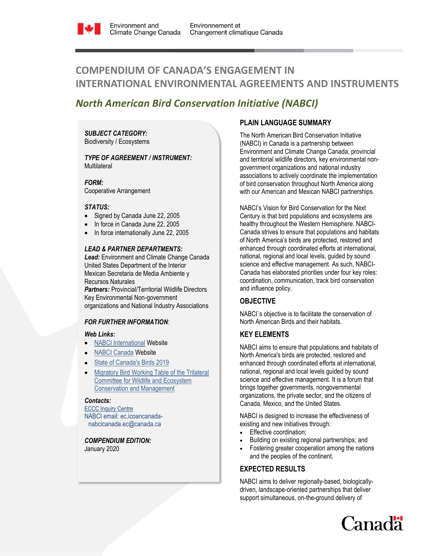

# **COMPENDIUM OF CANADA'S ENGAGEMENT IN INTERNATIONAL ENVIRONMENTAL AGREEMENTS AND INSTRUMENTS**

## *North American Bird Conservation Initiative (NABCI)*

*SUBJECT CATEGORY:*  Biodiversity / Ecosystems

*TYPE OF AGREEMENT / INSTRUMENT:*  **Multilateral** 

*FORM:* Cooperative Arrangement

#### *STATUS:*

- Signed by Canada June 22, 2005
- In force in Canada June 22, 2005
- In force internationally June 22, 2005

#### *LEAD & PARTNER DEPARTMENTS:*

*Lead:* Environment and Climate Change Canada United States Department of the Interior Mexican Secretaria de Media Ambiente y Recursos Naturales

*Partners: Provincial/Territorial Wildlife Directors* Key Environmental Non-government organizations and National Industry Associations

#### *FOR FURTHER INFORMATION:*

#### *Web Links***:**

- [NABCI International](http://nabci.net/international/) Website
- [NABCI Canada](http://nabci.net/) Website
- [State of Canada's Birds](http://www.stateofcanadasbirds.org/) 2019
- [Migratory Bird Working Table of the Trilateral](http://trilat.org/working-tables/migratory-birds)  [Committee for Wildlife and Ecosystem](http://trilat.org/working-tables/migratory-birds)  [Conservation and Management](http://trilat.org/working-tables/migratory-birds)

#### *Contacts:*

[ECCC Inquiry Centre](https://www.ec.gc.ca/default.asp?lang=En&n=DA294545-1) NABCI email: ec.icoancanadanabcicanada.ec@canada.ca

*COMPENDIUM EDITION:*  January 2020

## **PLAIN LANGUAGE SUMMARY**

The North American Bird Conservation Initiative (NABCI) in Canada is a partnership between Environment and Climate Change Canada, provincial and territorial wildlife directors, key environmental nongovernment organizations and national industry associations to actively coordinate the implementation of bird conservation throughout North America along with our American and Mexican NABCI partnerships.

NABCI's Vision for Bird Conservation for the Next Century is that bird populations and ecosystems are healthy throughout the Western Hemisphere. NABCI-Canada strives to ensure that populations and habitats of North America's birds are protected, restored and enhanced through coordinated efforts at international, national, regional and local levels, guided by sound science and effective management. As such, NABCI-Canada has elaborated priorities under four key roles: coordination, communication, track bird conservation and influence policy.

## **OBJECTIVE**

NABCI`s objective is to facilitate the conservation of North American Birds and their habitats.

## **KEY ELEMENTS**

NABCI aims to ensure that populations and habitats of North America's birds are protected, restored and enhanced through coordinated efforts at international, national, regional and local levels guided by sound science and effective management. It is a forum that brings together governments, nongovernmental organizations, the private sector, and the citizens of Canada, Mexico, and the United States.

NABCI is designed to increase the effectiveness of existing and new initiatives through:

- Effective coordination;
- Building on existing regional partnerships; and
- Fostering greater cooperation among the nations and the peoples of the continent.

## **EXPECTED RESULTS**

NABCI aims to deliver regionally-based, biologicallydriven, landscape-oriented partnerships that deliver support simultaneous, on-the-ground delivery of

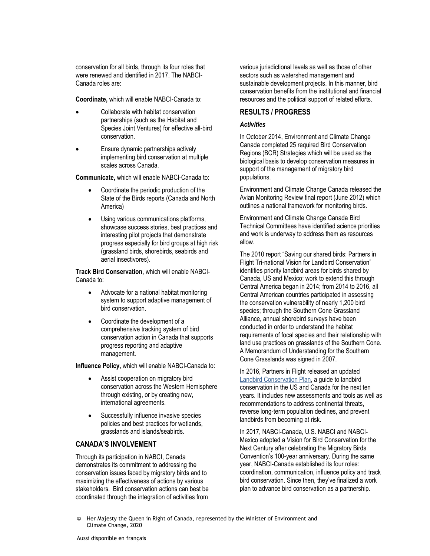conservation for all birds, through its four roles that were renewed and identified in 2017. The NABCI-Canada roles are:

**Coordinate,** which will enable NABCI-Canada to:

- Collaborate with habitat conservation partnerships (such as the Habitat and Species Joint Ventures) for effective all-bird conservation.
- Ensure dynamic partnerships actively implementing bird conservation at multiple scales across Canada.

**Communicate,** which will enable NABCI-Canada to:

- Coordinate the periodic production of the State of the Birds reports (Canada and North America)
- Using various communications platforms, showcase success stories, best practices and interesting pilot projects that demonstrate progress especially for bird groups at high risk (grassland birds, shorebirds, seabirds and aerial insectivores).

**Track Bird Conservation,** which will enable NABCI-Canada to:

- Advocate for a national habitat monitoring system to support adaptive management of bird conservation.
- Coordinate the development of a comprehensive tracking system of bird conservation action in Canada that supports progress reporting and adaptive management.

**Influence Policy,** which will enable NABCI-Canada to:

- Assist cooperation on migratory bird conservation across the Western Hemisphere through existing, or by creating new, international agreements.
- Successfully influence invasive species policies and best practices for wetlands, grasslands and islands/seabirds.

## **CANADA'S INVOLVEMENT**

Through its participation in NABCI, Canada demonstrates its commitment to addressing the conservation issues faced by migratory birds and to maximizing the effectiveness of actions by various stakeholders. Bird conservation actions can best be coordinated through the integration of activities from

various jurisdictional levels as well as those of other sectors such as watershed management and sustainable development projects. In this manner, bird conservation benefits from the institutional and financial resources and the political support of related efforts.

## **RESULTS / PROGRESS**

#### *Activities*

In October 2014, Environment and Climate Change Canada completed 25 required Bird Conservation Regions (BCR) Strategies which will be used as the biological basis to develop conservation measures in support of the management of migratory bird populations.

Environment and Climate Change Canada released the Avian Monitoring Review final report (June 2012) which outlines a national framework for monitoring birds.

Environment and Climate Change Canada Bird Technical Committees have identified science priorities and work is underway to address them as resources allow.

The 2010 report "Saving our shared birds: Partners in Flight Tri-national Vision for Landbird Conservation" identifies priority landbird areas for birds shared by Canada, US and Mexico; work to extend this through Central America began in 2014; from 2014 to 2016, all Central American countries participated in assessing the conservation vulnerability of nearly 1,200 bird species; through the Southern Cone Grassland Alliance, annual shorebird surveys have been conducted in order to understand the habitat requirements of focal species and their relationship with land use practices on grasslands of the Southern Cone. A Memorandum of Understanding for the Southern Cone Grasslands was signed in 2007.

In 2016, Partners in Flight released an updated [Landbird Conservation Plan,](https://www.partnersinflight.org/resources/the-plan/) a guide to landbird conservation in the US and Canada for the next ten years. It includes new assessments and tools as well as recommendations to address continental threats, reverse long-term population declines, and prevent landbirds from becoming at risk.

In 2017, NABCI-Canada, U.S. NABCI and NABCI-Mexico adopted a Vision for Bird Conservation for the Next Century after celebrating the Migratory Birds Convention's 100-year anniversary. During the same year, NABCI-Canada established its four roles: coordination, communication, influence policy and track bird conservation. Since then, they've finalized a work plan to advance bird conservation as a partnership.

Her Majesty the Queen in Right of Canada, represented by the Minister of Environment and Climate Change, 2020